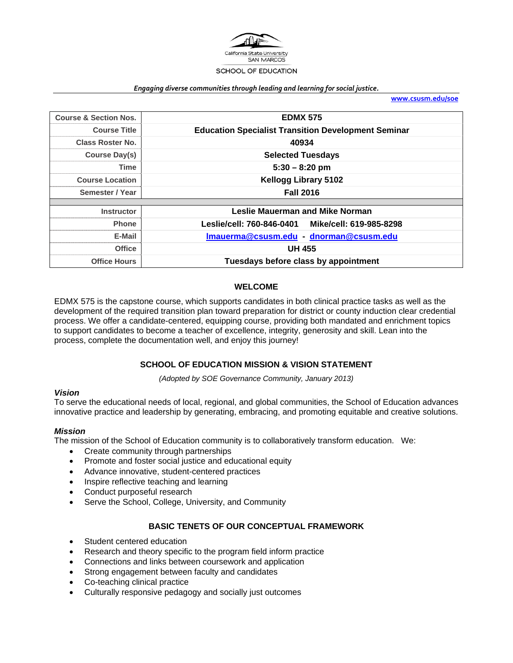

#### *Engaging diverse communities through leading and learning for social justice.*

**www.csusm.edu/soe**

| <b>Course &amp; Section Nos.</b> | <b>EDMX 575</b>                                            |
|----------------------------------|------------------------------------------------------------|
| <b>Course Title</b>              | <b>Education Specialist Transition Development Seminar</b> |
| <b>Class Roster No.</b>          | 40934                                                      |
| Course Day(s)                    | <b>Selected Tuesdays</b>                                   |
| Time                             | $5:30 - 8:20$ pm                                           |
| <b>Course Location</b>           | <b>Kellogg Library 5102</b>                                |
| Semester / Year                  | <b>Fall 2016</b>                                           |
|                                  |                                                            |
| <b>Instructor</b>                | <b>Leslie Mauerman and Mike Norman</b>                     |
| <b>Phone</b>                     | Leslie/cell: 760-846-0401<br>Mike/cell: 619-985-8298       |
| E-Mail                           | Imauerma@csusm.edu dnorman@csusm.edu                       |
| <b>Office</b>                    | <b>UH 455</b>                                              |
| <b>Office Hours</b>              | Tuesdays before class by appointment                       |

### **WELCOME**

EDMX 575 is the capstone course, which supports candidates in both clinical practice tasks as well as the development of the required transition plan toward preparation for district or county induction clear credential process. We offer a candidate-centered, equipping course, providing both mandated and enrichment topics to support candidates to become a teacher of excellence, integrity, generosity and skill. Lean into the process, complete the documentation well, and enjoy this journey!

## **SCHOOL OF EDUCATION MISSION & VISION STATEMENT**

*(Adopted by SOE Governance Community, January 2013)* 

### *Vision*

To serve the educational needs of local, regional, and global communities, the School of Education advances innovative practice and leadership by generating, embracing, and promoting equitable and creative solutions.

### *Mission*

The mission of the School of Education community is to collaboratively transform education. We:

- Create community through partnerships
- Promote and foster social justice and educational equity
- Advance innovative, student-centered practices
- Inspire reflective teaching and learning
- Conduct purposeful research
- Serve the School, College, University, and Community

## **BASIC TENETS OF OUR CONCEPTUAL FRAMEWORK**

- Student centered education
- Research and theory specific to the program field inform practice
- Connections and links between coursework and application
- Strong engagement between faculty and candidates
- Co-teaching clinical practice
- Culturally responsive pedagogy and socially just outcomes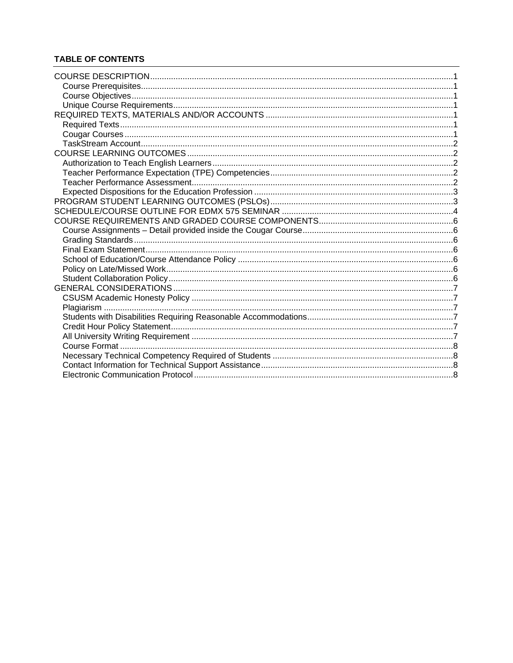## **TABLE OF CONTENTS**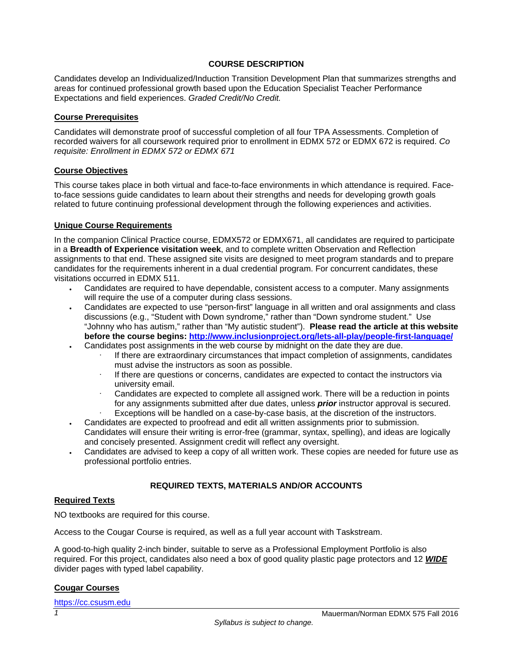## **COURSE DESCRIPTION**

Candidates develop an Individualized/Induction Transition Development Plan that summarizes strengths and areas for continued professional growth based upon the Education Specialist Teacher Performance Expectations and field experiences. *Graded Credit/No Credit.*

### **Course Prerequisites**

Candidates will demonstrate proof of successful completion of all four TPA Assessments. Completion of recorded waivers for all coursework required prior to enrollment in EDMX 572 or EDMX 672 is required. *Co requisite: Enrollment in EDMX 572 or EDMX 671* 

### **Course Objectives**

This course takes place in both virtual and face-to-face environments in which attendance is required. Faceto-face sessions guide candidates to learn about their strengths and needs for developing growth goals related to future continuing professional development through the following experiences and activities.

### **Unique Course Requirements**

In the companion Clinical Practice course, EDMX572 or EDMX671, all candidates are required to participate in a **Breadth of Experience visitation week**, and to complete written Observation and Reflection assignments to that end. These assigned site visits are designed to meet program standards and to prepare candidates for the requirements inherent in a dual credential program. For concurrent candidates, these visitations occurred in EDMX 511.

- Candidates are required to have dependable, consistent access to a computer. Many assignments will require the use of a computer during class sessions.
- Candidates are expected to use "person-first" language in all written and oral assignments and class discussions (e.g., "Student with Down syndrome," rather than "Down syndrome student." Use "Johnny who has autism," rather than "My autistic student"). **Please read the article at this website before the course begins: http://www.inclusionproject.org/lets-all-play/people-first-language/**  Candidates post assignments in the web course by midnight on the date they are due.
	- If there are extraordinary circumstances that impact completion of assignments, candidates must advise the instructors as soon as possible.
	- If there are questions or concerns, candidates are expected to contact the instructors via university email.
	- Candidates are expected to complete all assigned work. There will be a reduction in points for any assignments submitted after due dates, unless *prior* instructor approval is secured.
	- Exceptions will be handled on a case-by-case basis, at the discretion of the instructors.
- Candidates are expected to proofread and edit all written assignments prior to submission. Candidates will ensure their writing is error-free (grammar, syntax, spelling), and ideas are logically and concisely presented. Assignment credit will reflect any oversight.
- Candidates are advised to keep a copy of all written work. These copies are needed for future use as professional portfolio entries.

## **REQUIRED TEXTS, MATERIALS AND/OR ACCOUNTS**

## **Required Texts**

NO textbooks are required for this course.

Access to the Cougar Course is required, as well as a full year account with Taskstream.

A good-to-high quality 2-inch binder, suitable to serve as a Professional Employment Portfolio is also required. For this project, candidates also need a box of good quality plastic page protectors and 12 *WIDE* divider pages with typed label capability.

## **Cougar Courses**

https://cc.csusm.edu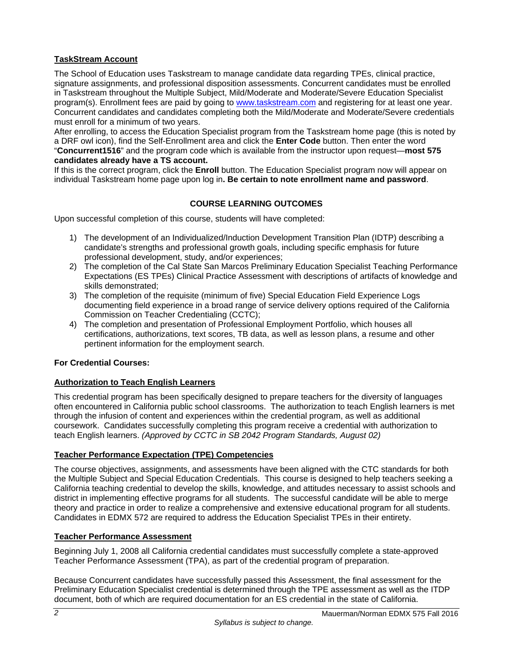# **TaskStream Account**

The School of Education uses Taskstream to manage candidate data regarding TPEs, clinical practice, signature assignments, and professional disposition assessments. Concurrent candidates must be enrolled in Taskstream throughout the Multiple Subject, Mild/Moderate and Moderate/Severe Education Specialist program(s). Enrollment fees are paid by going to www.taskstream.com and registering for at least one year. Concurrent candidates and candidates completing both the Mild/Moderate and Moderate/Severe credentials must enroll for a minimum of two years.

After enrolling, to access the Education Specialist program from the Taskstream home page (this is noted by a DRF owl icon), find the Self-Enrollment area and click the **Enter Code** button. Then enter the word "**Concurrent1516**" and the program code which is available from the instructor upon request—**most 575 candidates already have a TS account.** 

If this is the correct program, click the **Enroll** button. The Education Specialist program now will appear on individual Taskstream home page upon log in**. Be certain to note enrollment name and password**.

## **COURSE LEARNING OUTCOMES**

Upon successful completion of this course, students will have completed:

- 1) The development of an Individualized/Induction Development Transition Plan (IDTP) describing a candidate's strengths and professional growth goals, including specific emphasis for future professional development, study, and/or experiences;
- 2) The completion of the Cal State San Marcos Preliminary Education Specialist Teaching Performance Expectations (ES TPEs) Clinical Practice Assessment with descriptions of artifacts of knowledge and skills demonstrated;
- 3) The completion of the requisite (minimum of five) Special Education Field Experience Logs documenting field experience in a broad range of service delivery options required of the California Commission on Teacher Credentialing (CCTC);
- 4) The completion and presentation of Professional Employment Portfolio, which houses all certifications, authorizations, text scores, TB data, as well as lesson plans, a resume and other pertinent information for the employment search.

## **For Credential Courses:**

## **Authorization to Teach English Learners**

This credential program has been specifically designed to prepare teachers for the diversity of languages often encountered in California public school classrooms. The authorization to teach English learners is met through the infusion of content and experiences within the credential program, as well as additional coursework. Candidates successfully completing this program receive a credential with authorization to teach English learners. *(Approved by CCTC in SB 2042 Program Standards, August 02)*

## **Teacher Performance Expectation (TPE) Competencies**

The course objectives, assignments, and assessments have been aligned with the CTC standards for both the Multiple Subject and Special Education Credentials. This course is designed to help teachers seeking a California teaching credential to develop the skills, knowledge, and attitudes necessary to assist schools and district in implementing effective programs for all students. The successful candidate will be able to merge theory and practice in order to realize a comprehensive and extensive educational program for all students. Candidates in EDMX 572 are required to address the Education Specialist TPEs in their entirety.

## **Teacher Performance Assessment**

Beginning July 1, 2008 all California credential candidates must successfully complete a state-approved Teacher Performance Assessment (TPA), as part of the credential program of preparation.

Because Concurrent candidates have successfully passed this Assessment, the final assessment for the Preliminary Education Specialist credential is determined through the TPE assessment as well as the ITDP document, both of which are required documentation for an ES credential in the state of California.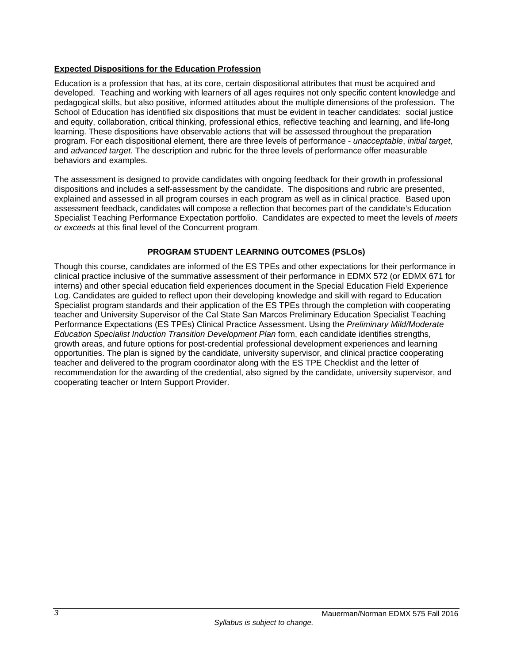## **Expected Dispositions for the Education Profession**

Education is a profession that has, at its core, certain dispositional attributes that must be acquired and developed. Teaching and working with learners of all ages requires not only specific content knowledge and pedagogical skills, but also positive, informed attitudes about the multiple dimensions of the profession. The School of Education has identified six dispositions that must be evident in teacher candidates: social justice and equity, collaboration, critical thinking, professional ethics, reflective teaching and learning, and life-long learning. These dispositions have observable actions that will be assessed throughout the preparation program. For each dispositional element, there are three levels of performance - *unacceptable*, *initial target*, and *advanced target*. The description and rubric for the three levels of performance offer measurable behaviors and examples.

The assessment is designed to provide candidates with ongoing feedback for their growth in professional dispositions and includes a self-assessment by the candidate. The dispositions and rubric are presented, explained and assessed in all program courses in each program as well as in clinical practice. Based upon assessment feedback, candidates will compose a reflection that becomes part of the candidate's Education Specialist Teaching Performance Expectation portfolio. Candidates are expected to meet the levels of *meets or exceeds* at this final level of the Concurrent program.

## **PROGRAM STUDENT LEARNING OUTCOMES (PSLOs)**

Though this course, candidates are informed of the ES TPEs and other expectations for their performance in clinical practice inclusive of the summative assessment of their performance in EDMX 572 (or EDMX 671 for interns) and other special education field experiences document in the Special Education Field Experience Log. Candidates are guided to reflect upon their developing knowledge and skill with regard to Education Specialist program standards and their application of the ES TPEs through the completion with cooperating teacher and University Supervisor of the Cal State San Marcos Preliminary Education Specialist Teaching Performance Expectations (ES TPEs) Clinical Practice Assessment. Using the *Preliminary Mild/Moderate Education Specialist Induction Transition Development Plan* form, each candidate identifies strengths, growth areas, and future options for post-credential professional development experiences and learning opportunities. The plan is signed by the candidate, university supervisor, and clinical practice cooperating teacher and delivered to the program coordinator along with the ES TPE Checklist and the letter of recommendation for the awarding of the credential, also signed by the candidate, university supervisor, and cooperating teacher or Intern Support Provider.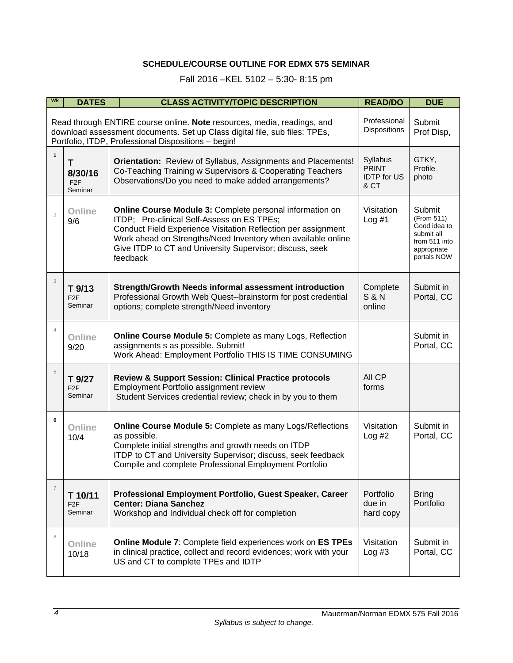# **SCHEDULE/COURSE OUTLINE FOR EDMX 575 SEMINAR**

# Fall 2016 –KEL 5102 – 5:30- 8:15 pm

| Wk                                                                                                                                                                                                                                           | <b>DATES</b>                               | <b>CLASS ACTIVITY/TOPIC DESCRIPTION</b>                                                                                                                                                                                                                                                                                | <b>READ/DO</b>                                         | <b>DUE</b>                                                                                        |  |
|----------------------------------------------------------------------------------------------------------------------------------------------------------------------------------------------------------------------------------------------|--------------------------------------------|------------------------------------------------------------------------------------------------------------------------------------------------------------------------------------------------------------------------------------------------------------------------------------------------------------------------|--------------------------------------------------------|---------------------------------------------------------------------------------------------------|--|
| Professional<br>Read through ENTIRE course online. Note resources, media, readings, and<br>Dispositions<br>download assessment documents. Set up Class digital file, sub files: TPEs,<br>Portfolio, ITDP, Professional Dispositions - begin! |                                            |                                                                                                                                                                                                                                                                                                                        |                                                        |                                                                                                   |  |
| $\mathbf{1}$                                                                                                                                                                                                                                 | Τ<br>8/30/16<br>F <sub>2F</sub><br>Seminar | Orientation: Review of Syllabus, Assignments and Placements!<br>Co-Teaching Training w Supervisors & Cooperating Teachers<br>Observations/Do you need to make added arrangements?                                                                                                                                      | Syllabus<br><b>PRINT</b><br><b>IDTP</b> for US<br>& CT | GTKY,<br>Profile<br>photo                                                                         |  |
| $\overline{2}$                                                                                                                                                                                                                               | Online<br>9/6                              | <b>Online Course Module 3: Complete personal information on</b><br>ITDP; Pre-clinical Self-Assess on ES TPEs;<br>Conduct Field Experience Visitation Reflection per assignment<br>Work ahead on Strengths/Need Inventory when available online<br>Give ITDP to CT and University Supervisor; discuss, seek<br>feedback | Visitation<br>Log #1                                   | Submit<br>(From 511)<br>Good idea to<br>submit all<br>from 511 into<br>appropriate<br>portals NOW |  |
| 3                                                                                                                                                                                                                                            | T 9/13<br>F <sub>2F</sub><br>Seminar       | Strength/Growth Needs informal assessment introduction<br>Professional Growth Web Quest--brainstorm for post credential<br>options; complete strength/Need inventory                                                                                                                                                   | Complete<br><b>S&amp;N</b><br>online                   | Submit in<br>Portal, CC                                                                           |  |
| $\overline{4}$                                                                                                                                                                                                                               | Online<br>9/20                             | Online Course Module 5: Complete as many Logs, Reflection<br>assignments s as possible. Submit!<br>Work Ahead: Employment Portfolio THIS IS TIME CONSUMING                                                                                                                                                             |                                                        | Submit in<br>Portal, CC                                                                           |  |
| 5                                                                                                                                                                                                                                            | T 9/27<br>F <sub>2F</sub><br>Seminar       | <b>Review &amp; Support Session: Clinical Practice protocols</b><br>Employment Portfolio assignment review<br>Student Services credential review; check in by you to them                                                                                                                                              | All CP<br>forms                                        |                                                                                                   |  |
| 6                                                                                                                                                                                                                                            | Online<br>10/4                             | Online Course Module 5: Complete as many Logs/Reflections<br>as possible.<br>Complete initial strengths and growth needs on ITDP<br>ITDP to CT and University Supervisor; discuss, seek feedback<br>Compile and complete Professional Employment Portfolio                                                             | Visitation<br>Log #2                                   | Submit in<br>Portal, CC                                                                           |  |
| $\overline{7}$                                                                                                                                                                                                                               | T 10/11<br>F <sub>2</sub> F<br>Seminar     | Professional Employment Portfolio, Guest Speaker, Career<br><b>Center: Diana Sanchez</b><br>Workshop and Individual check off for completion                                                                                                                                                                           | Portfolio<br>due in<br>hard copy                       | <b>Bring</b><br>Portfolio                                                                         |  |
| 8                                                                                                                                                                                                                                            | Online<br>10/18                            | Online Module 7: Complete field experiences work on ES TPEs<br>in clinical practice, collect and record evidences; work with your<br>US and CT to complete TPEs and IDTP                                                                                                                                               | Visitation<br>Log #3                                   | Submit in<br>Portal, CC                                                                           |  |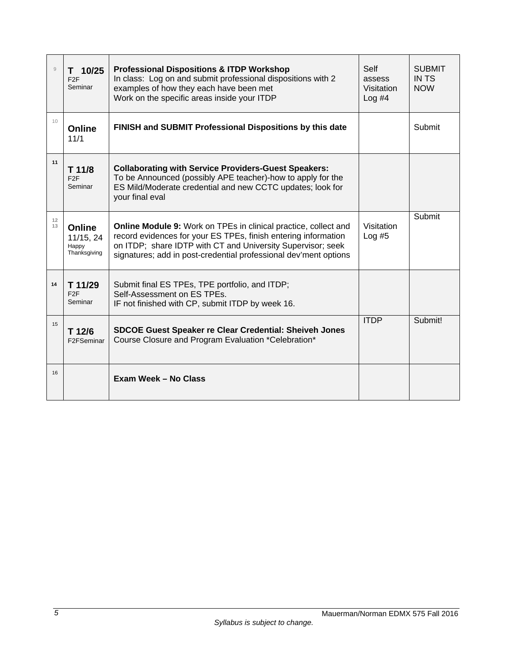| $\overline{9}$ | $T$ 10/25<br>F <sub>2</sub> F<br>Seminar     | <b>Professional Dispositions &amp; ITDP Workshop</b><br>In class: Log on and submit professional dispositions with 2<br>examples of how they each have been met<br>Work on the specific areas inside your ITDP                                                              | Self<br>assess<br>Visitation<br>$Log$ #4 | <b>SUBMIT</b><br><b>IN TS</b><br><b>NOW</b> |
|----------------|----------------------------------------------|-----------------------------------------------------------------------------------------------------------------------------------------------------------------------------------------------------------------------------------------------------------------------------|------------------------------------------|---------------------------------------------|
| 10             | Online<br>11/1                               | FINISH and SUBMIT Professional Dispositions by this date                                                                                                                                                                                                                    |                                          | Submit                                      |
| 11             | T 11/8<br>F2F<br>Seminar                     | <b>Collaborating with Service Providers-Guest Speakers:</b><br>To be Announced (possibly APE teacher)-how to apply for the<br>ES Mild/Moderate credential and new CCTC updates; look for<br>your final eval                                                                 |                                          |                                             |
| 12<br>13       | Online<br>11/15, 24<br>Happy<br>Thanksgiving | <b>Online Module 9:</b> Work on TPEs in clinical practice, collect and<br>record evidences for your ES TPEs, finish entering information<br>on ITDP; share IDTP with CT and University Supervisor; seek<br>signatures; add in post-credential professional dev'ment options | Visitation<br>$Log$ #5                   | Submit                                      |
| 14             | T 11/29<br>F2F<br>Seminar                    | Submit final ES TPEs, TPE portfolio, and ITDP;<br>Self-Assessment on ES TPEs.<br>IF not finished with CP, submit ITDP by week 16.                                                                                                                                           |                                          |                                             |
| 15             | T 12/6<br>F2FSeminar                         | <b>SDCOE Guest Speaker re Clear Credential: Sheiveh Jones</b><br>Course Closure and Program Evaluation *Celebration*                                                                                                                                                        | <b>ITDP</b>                              | Submit!                                     |
| 16             |                                              | Exam Week - No Class                                                                                                                                                                                                                                                        |                                          |                                             |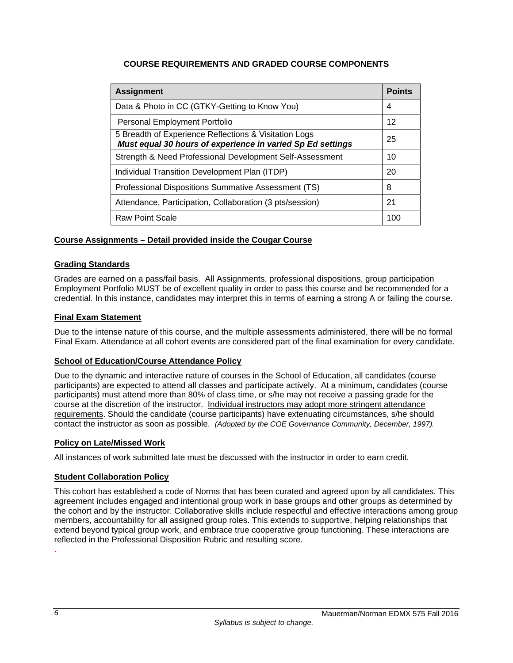# **COURSE REQUIREMENTS AND GRADED COURSE COMPONENTS**

| <b>Assignment</b>                                                                                                   | <b>Points</b> |  |
|---------------------------------------------------------------------------------------------------------------------|---------------|--|
| Data & Photo in CC (GTKY-Getting to Know You)                                                                       |               |  |
| Personal Employment Portfolio                                                                                       |               |  |
| 5 Breadth of Experience Reflections & Visitation Logs<br>Must equal 30 hours of experience in varied Sp Ed settings | 25            |  |
| Strength & Need Professional Development Self-Assessment                                                            | 10            |  |
| Individual Transition Development Plan (ITDP)                                                                       |               |  |
| Professional Dispositions Summative Assessment (TS)                                                                 | 8             |  |
| Attendance, Participation, Collaboration (3 pts/session)                                                            |               |  |
| <b>Raw Point Scale</b>                                                                                              | 100           |  |

## **Course Assignments – Detail provided inside the Cougar Course**

## **Grading Standards**

Grades are earned on a pass/fail basis. All Assignments, professional dispositions, group participation Employment Portfolio MUST be of excellent quality in order to pass this course and be recommended for a credential. In this instance, candidates may interpret this in terms of earning a strong A or failing the course.

## **Final Exam Statement**

Due to the intense nature of this course, and the multiple assessments administered, there will be no formal Final Exam. Attendance at all cohort events are considered part of the final examination for every candidate.

## **School of Education/Course Attendance Policy**

Due to the dynamic and interactive nature of courses in the School of Education, all candidates (course participants) are expected to attend all classes and participate actively. At a minimum, candidates (course participants) must attend more than 80% of class time, or s/he may not receive a passing grade for the course at the discretion of the instructor. Individual instructors may adopt more stringent attendance requirements. Should the candidate (course participants) have extenuating circumstances, s/he should contact the instructor as soon as possible. *(Adopted by the COE Governance Community, December, 1997).*

## **Policy on Late/Missed Work**

All instances of work submitted late must be discussed with the instructor in order to earn credit.

## **Student Collaboration Policy**

This cohort has established a code of Norms that has been curated and agreed upon by all candidates. This agreement includes engaged and intentional group work in base groups and other groups as determined by the cohort and by the instructor. Collaborative skills include respectful and effective interactions among group members, accountability for all assigned group roles. This extends to supportive, helping relationships that extend beyond typical group work, and embrace true cooperative group functioning. These interactions are reflected in the Professional Disposition Rubric and resulting score. .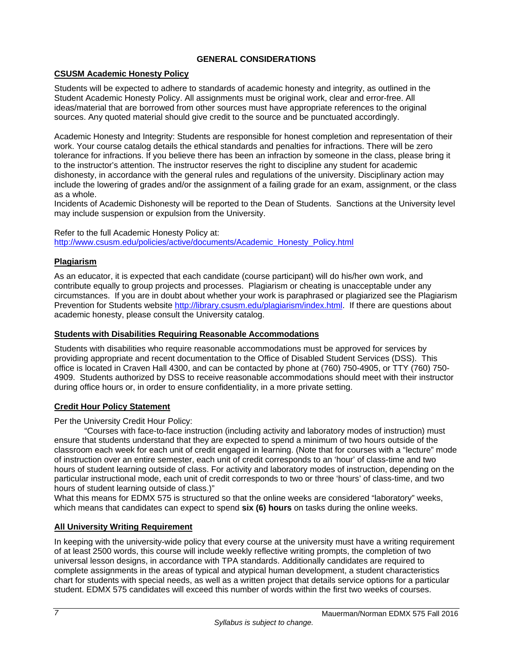## **GENERAL CONSIDERATIONS**

## **CSUSM Academic Honesty Policy**

Students will be expected to adhere to standards of academic honesty and integrity, as outlined in the Student Academic Honesty Policy. All assignments must be original work, clear and error-free. All ideas/material that are borrowed from other sources must have appropriate references to the original sources. Any quoted material should give credit to the source and be punctuated accordingly.

Academic Honesty and Integrity: Students are responsible for honest completion and representation of their work. Your course catalog details the ethical standards and penalties for infractions. There will be zero tolerance for infractions. If you believe there has been an infraction by someone in the class, please bring it to the instructor's attention. The instructor reserves the right to discipline any student for academic dishonesty, in accordance with the general rules and regulations of the university. Disciplinary action may include the lowering of grades and/or the assignment of a failing grade for an exam, assignment, or the class as a whole.

Incidents of Academic Dishonesty will be reported to the Dean of Students. Sanctions at the University level may include suspension or expulsion from the University.

Refer to the full Academic Honesty Policy at: http://www.csusm.edu/policies/active/documents/Academic\_Honesty\_Policy.html

## **Plagiarism**

As an educator, it is expected that each candidate (course participant) will do his/her own work, and contribute equally to group projects and processes. Plagiarism or cheating is unacceptable under any circumstances. If you are in doubt about whether your work is paraphrased or plagiarized see the Plagiarism Prevention for Students website http://library.csusm.edu/plagiarism/index.html. If there are questions about academic honesty, please consult the University catalog.

### **Students with Disabilities Requiring Reasonable Accommodations**

Students with disabilities who require reasonable accommodations must be approved for services by providing appropriate and recent documentation to the Office of Disabled Student Services (DSS). This office is located in Craven Hall 4300, and can be contacted by phone at (760) 750-4905, or TTY (760) 750- 4909. Students authorized by DSS to receive reasonable accommodations should meet with their instructor during office hours or, in order to ensure confidentiality, in a more private setting.

## **Credit Hour Policy Statement**

Per the University Credit Hour Policy:

"Courses with face-to-face instruction (including activity and laboratory modes of instruction) must ensure that students understand that they are expected to spend a minimum of two hours outside of the classroom each week for each unit of credit engaged in learning. (Note that for courses with a "lecture" mode of instruction over an entire semester, each unit of credit corresponds to an 'hour' of class-time and two hours of student learning outside of class. For activity and laboratory modes of instruction, depending on the particular instructional mode, each unit of credit corresponds to two or three 'hours' of class-time, and two hours of student learning outside of class.)"

What this means for EDMX 575 is structured so that the online weeks are considered "laboratory" weeks, which means that candidates can expect to spend **six (6) hours** on tasks during the online weeks.

## **All University Writing Requirement**

In keeping with the university-wide policy that every course at the university must have a writing requirement of at least 2500 words, this course will include weekly reflective writing prompts, the completion of two universal lesson designs, in accordance with TPA standards. Additionally candidates are required to complete assignments in the areas of typical and atypical human development, a student characteristics chart for students with special needs, as well as a written project that details service options for a particular student. EDMX 575 candidates will exceed this number of words within the first two weeks of courses.